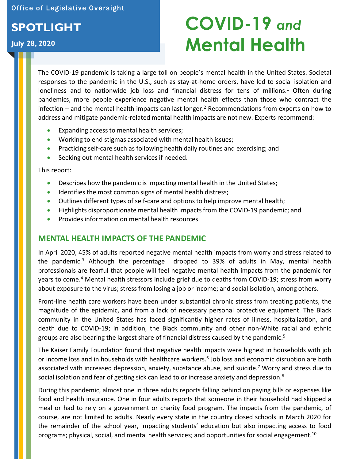Office of Legislative Oversight

# **SPOTLIGHT**

### **July 28, 2020**

# **COVID-19** *and*  **Mental Health**

The COVID-19 pandemic is taking a large toll on people's mental health in the United States. Societal responses to the pandemic in the U.S., such as stay-at-home orders, have led to social isolation and loneliness and to nationwide job loss and financial distress for tens of millions.<sup>1</sup> Often during pandemics, more people experience negative mental health effects than those who contract the infection – and the mental health impacts can last longer. 2 Recommendations from experts on how to address and mitigate pandemic-related mental health impacts are not new. Experts recommend:

- Expanding access to mental health services;
- Working to end stigmas associated with mental health issues;
- Practicing self-care such as following health daily routines and exercising; and
- Seeking out mental health services if needed.

This report:

- Describes how the pandemic is impacting mental health in the United States;
- Identifies the most common signs of mental health distress;
- Outlines different types of self-care and options to help improve mental health;
- Highlights disproportionate mental health impacts from the COVID-19 pandemic; and
- Provides information on mental health resources.

### **MENTAL HEALTH IMPACTS OF THE PANDEMIC**

In April 2020, 45% of adults reported negative mental health impacts from worry and stress related to the pandemic. 3 Although the percentage dropped to 39% of adults in May, mental health professionals are fearful that people will feel negative mental health impacts from the pandemic for years to come. 4 Mental health stressors include grief due to deaths from COVID-19; stress from worry about exposure to the virus; stress from losing a job or income; and social isolation, among others.

Front-line health care workers have been under substantial chronic stress from treating patients, the magnitude of the epidemic, and from a lack of necessary personal protective equipment. The Black community in the United States has faced significantly higher rates of illness, hospitalization, and death due to COVID-19; in addition, the Black community and other non-White racial and ethnic groups are also bearing the largest share of financial distress caused by the pandemic. 5

The Kaiser Family Foundation found that negative health impacts were highest in households with job or income loss and in households with healthcare workers.<sup>6</sup> Job loss and economic disruption are both associated with increased depression, anxiety, substance abuse, and suicide. 7 Worry and stress due to social isolation and fear of getting sick can lead to or increase anxiety and depression.<sup>8</sup>

During this pandemic, almost one in three adults reports falling behind on paying bills or expenses like food and health insurance. One in four adults reports that someone in their household had skipped a meal or had to rely on a government or charity food program. The impacts from the pandemic, of course, are not limited to adults. Nearly every state in the country closed schools in March 2020 for the remainder of the school year, impacting students' education but also impacting access to food programs; physical, social, and mental health services; and opportunities for social [engagement.](https://engagement.10)<sup>10</sup>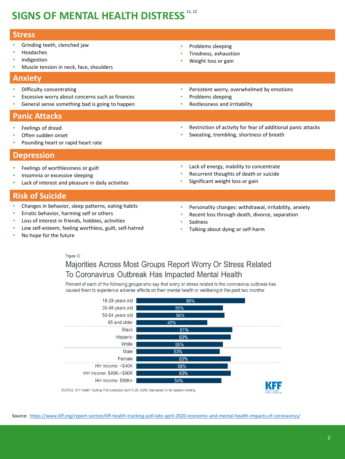# **SIGNS OF MENTAL HEALTH DISTRESS 11, 12**

| <b>Stress</b>                                                                                                                                                                                                               |                                                                                                                                                                      |
|-----------------------------------------------------------------------------------------------------------------------------------------------------------------------------------------------------------------------------|----------------------------------------------------------------------------------------------------------------------------------------------------------------------|
| Grinding teeth, clenched jaw<br>Headaches<br>٠<br>Indigestion<br>Muscle tension in neck, face, shoulders<br>٠                                                                                                               | Problems sleeping<br>$\bullet$<br>Tiredness, exhaustion<br>Weight loss or gain                                                                                       |
| <b>Anxiety</b>                                                                                                                                                                                                              |                                                                                                                                                                      |
| Difficulty concentrating<br>٠<br>Excessive worry about concerns such as finances<br>٠<br>General sense something bad is going to happen<br>٠                                                                                | Persistent worry, overwhelmed by emotions<br>$\bullet$<br>Problems sleeping<br>٠<br>Restlessness and irritability                                                    |
| <b>Panic Attacks</b>                                                                                                                                                                                                        |                                                                                                                                                                      |
| Feelings of dread<br>۰<br>Often sudden onset<br>٠<br>Pounding heart or rapid heart rate<br>٠                                                                                                                                | Restriction of activity for fear of additional panic attacks<br>$\bullet$<br>Sweating, trembling, shortness of breath<br>$\bullet$                                   |
| <b>Depression</b>                                                                                                                                                                                                           |                                                                                                                                                                      |
| Feelings of worthlessness or guilt<br>٠<br>Insomnia or excessive sleeping<br>٠<br>Lack of interest and pleasure in daily activities<br>٠                                                                                    | Lack of energy, inability to concentrate<br>$\bullet$<br>Recurrent thoughts of death or suicide<br>Significant weight loss or gain                                   |
| <b>Risk of Suicide</b>                                                                                                                                                                                                      |                                                                                                                                                                      |
| Changes in behavior, sleep patterns, eating habits<br>۰<br>Erratic behavior, harming self or others<br>۰<br>Loss of interest in friends, hobbies, activities<br>٠<br>Low self-esteem, feeling worthless, guilt, self-hatred | Personality changes: withdrawal, irritability, anxiety<br>$\bullet$<br>Recent loss through death, divorce, separation<br>Sadness<br>Talking about dying or self-harm |

• No hope for the future

Figure 12

Majorities Across Most Groups Report Worry Or Stress Related

To Coronavirus Outbreak Has Impacted Mental Health

Percent of each of the following groups who say that worry or stress related to the coronavirus outbreak has caused them to experience adverse effects on their mental health or wellbeing in the past two months:

| 18-29 years old                                                                                       | 69% |                         |
|-------------------------------------------------------------------------------------------------------|-----|-------------------------|
| 30-49 years old                                                                                       | 55% |                         |
| 50-64 years old                                                                                       | 56% |                         |
| 65 and older                                                                                          | 45% |                         |
| Black                                                                                                 | 61% |                         |
| Hispanic                                                                                              | 60% |                         |
| White                                                                                                 | 55% |                         |
| Male                                                                                                  | 53% |                         |
| Female                                                                                                | 60% |                         |
| HH Income: <\$40K                                                                                     | 58% |                         |
| HH Income: \$40K-<\$90K                                                                               | 60% |                         |
| HH Income: \$90K+                                                                                     | 54% |                         |
| OURCE: KFF Health Tracking Poll (conducted April 15-20, 2020). See topline for full question wording. |     | <b>CAMILY COUNTATIO</b> |
|                                                                                                       |     |                         |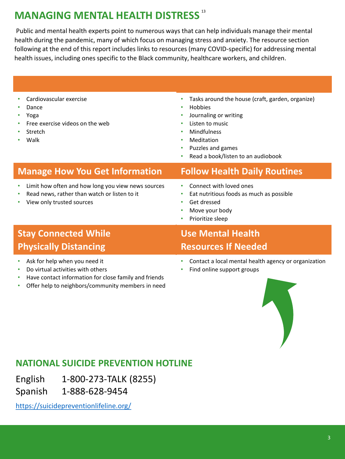# **MANAGING MENTAL HEALTH DISTRESS** <sup>13</sup>

Public and mental health experts point to numerous ways that can help individuals manage their mental health during the pandemic, many of which focus on managing stress and anxiety. The resource section following at the end of this report includes links to resources (many COVID-specific) for addressing mental health issues, including ones specific to the Black community, healthcare workers, and children.

- Cardiovascular exercise
- Dance
- Yoga
- Free exercise videos on the web
- **Stretch**
- Walk
- Tasks around the house (craft, garden, organize)
- Hobbies
- Journaling or writing
- Listen to music
- **Mindfulness**
- Meditation
- Puzzles and games
- Read a book/listen to an audiobook

### **Manage How You Get Information Follow Health Daily Routines**

- Limit how often and how long you view news sources
- Read news, rather than watch or listen to it
- View only trusted sources

- Connect with loved ones
- Eat nutritious foods as much as possible
- Get dressed
- Move your body
- Prioritize sleep

### **Stay Connected While <b>While Use Mental Health Physically Distancing Community Resources If Needed**

- Ask for help when you need it
- Do virtual activities with others •
- Have contact information for close family and friends
- Offer help to neighbors/community members in need

- Contact a local mental health agency or organization
- Find online support groups



### **NATIONAL SUICIDE PREVENTION HOTLINE**

English 1-800-273-TALK (8255)

1-888-628-9454 Spanish 1-888-628-9454 <https://suicidepreventionlifeline.org/>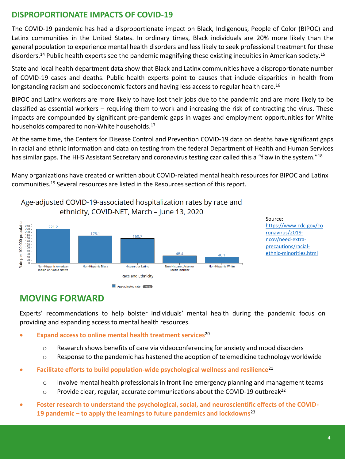### **DISPROPORTIONATE IMPACTS OF COVID-19**

The COVID-19 pandemic has had a disproportionate impact on Black, Indigenous, People of Color (BIPOC) and Latinx communities in the United States. In ordinary times, Black individuals are 20% more likely than the general population to experience mental health disorders and less likely to seek professional treatment for these [disorders.](https://disorders.14)<sup>14</sup> Public health experts see the pandemic magnifying these existing inequities in American [society.](https://society.15)<sup>15</sup>

State and local health department data show that Black and Latinx communities have a disproportionate number of COVID-19 cases and deaths. Public health experts point to causes that include disparities in health from longstanding racism and socioeconomic factors and having less access to regular health care.<sup>16</sup>

BIPOC and Latinx workers are more likely to have lost their jobs due to the pandemic and are more likely to be classified as essential workers – requiring them to work and increasing the risk of contracting the virus. These impacts are compounded by significant pre-pandemic gaps in wages and employment opportunities for White households compared to non-White [households.](https://households.17) 17

At the same time, the Centers for Disease Control and Prevention COVID-19 data on deaths have significant gaps in racial and ethnic information and data on testing from the federal Department of Health and Human Services has similar gaps. The HHS Assistant Secretary and coronavirus testing czar called this a "flaw in the system."<sup>18</sup>

Many organizations have created or written about COVID-related mental health resources for BIPOC and Latinx [communities.19](https://communities.19) Several resources are listed in the Resources section of this report.



Age-adiusted COVID-19-associated hospitalization rates by race and

Source: [https://www.cdc.gov/co](https://www.cdc.gov/coronavirus/2019-ncov/need-extra-precautions/racial-ethnic-minorities.html)  ronavirus/2019 ncov/need-extraprecautions/racialethnic-minorities.html

### **MOVING FORWARD**

Experts' recommendations to help bolster individuals' mental health during the pandemic focus on providing and expanding access to mental health resources.

- **Expand access to online mental health treatment services**<sup>20</sup>
	- o Research shows benefits of care via videoconferencing for anxiety and mood disorders
	- $\circ$  Response to the pandemic has hastened the adoption of telemedicine technology worldwide
- **• Facilitate efforts to build population-wide psychological wellness and resilience**<sup>21</sup>
	- $\circ$  Involve mental health professionals in front line emergency planning and management teams
	- $\circ$  Provide clear, regular, accurate communications about the COVID-19 outbreak<sup>22</sup>
- **Foster research to understand the psychological, social, and neuroscientific effects of the COVID- 19 pandemic – to apply the learnings to future pandemics and lockdowns**<sup>23</sup>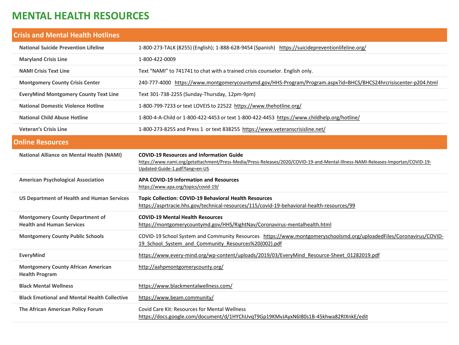### **MENTAL HEALTH RESOURCES**

| <b>Crisis and Mental Health Hotlines</b>                                   |                                                                                                                                                                                                                      |
|----------------------------------------------------------------------------|----------------------------------------------------------------------------------------------------------------------------------------------------------------------------------------------------------------------|
| <b>National Suicide Prevention Lifeline</b>                                | 1-800-273-TALK (8255) (English); 1-888-628-9454 (Spanish) https://suicidepreventionlifeline.org/                                                                                                                     |
| <b>Maryland Crisis Line</b>                                                | 1-800-422-0009                                                                                                                                                                                                       |
| <b>NAMI Crisis Text Line</b>                                               | Text "NAMI" to 741741 to chat with a trained crisis counselor. English only.                                                                                                                                         |
| <b>Montgomery County Crisis Center</b>                                     | 240-777-4000 https://www.montgomerycountymd.gov/HHS-Program/Program.aspx?id=BHCS/BHCS24hrcrisiscenter-p204.html                                                                                                      |
| <b>EveryMind Montgomery County Text Line</b>                               | Text 301-738-2255 (Sunday-Thursday, 12pm-9pm)                                                                                                                                                                        |
| <b>National Domestic Violence Hotline</b>                                  | 1-800-799-7233 or text LOVEIS to 22522 https://www.thehotline.org/                                                                                                                                                   |
| <b>National Child Abuse Hotline</b>                                        | 1-800-4-A-Child or 1-800-422-4453 or text 1-800-422-4453 https://www.childhelp.org/hotline/                                                                                                                          |
| <b>Veteran's Crisis Line</b>                                               | 1-800-273-8255 and Press 1 or text 838255 https://www.veteranscrisisline.net/                                                                                                                                        |
| <b>Online Resources</b>                                                    |                                                                                                                                                                                                                      |
| <b>National Alliance on Mental Health (NAMI)</b>                           | <b>COVID-19 Resources and Information Guide</b><br>https://www.nami.org/getattachment/Press-Media/Press-Releases/2020/COVID-19-and-Mental-Illness-NAMI-Releases-Importan/COVID-19-<br>Updated-Guide-1.pdf?lang=en-US |
| <b>American Psychological Association</b>                                  | <b>APA COVID-19 Information and Resources</b><br>https://www.apa.org/topics/covid-19/                                                                                                                                |
| <b>US Department of Health and Human Services</b>                          | <b>Topic Collection: COVID-19 Behavioral Health Resources</b><br>https://asprtracie.hhs.gov/technical-resources/115/covid-19-behavioral-health-resources/99                                                          |
| <b>Montgomery County Department of</b><br><b>Health and Human Services</b> | <b>COVID-19 Mental Health Resources</b><br>https://montgomerycountymd.gov/HHS/RightNav/Coronavirus-mentalhealth.html                                                                                                 |
| <b>Montgomery County Public Schools</b>                                    | COVID-19 School System and Community Resources https://www.montgomeryschoolsmd.org/uploadedFiles/Coronavirus/COVID-<br>19 School System and Community Resources%20(002).pdf                                          |
| EveryMind                                                                  | https://www.every-mind.org/wp-content/uploads/2019/03/EveryMind Resource-Sheet 01282019.pdf                                                                                                                          |
| <b>Montgomery County African American</b><br><b>Health Program</b>         | http://aahpmontgomerycounty.org/                                                                                                                                                                                     |
| <b>Black Mental Wellness</b>                                               | https://www.blackmentalwellness.com/                                                                                                                                                                                 |
| <b>Black Emotional and Mental Health Collective</b>                        | https://www.beam.community/                                                                                                                                                                                          |
| The African American Policy Forum                                          | <b>Covid Care Kit: Resources for Mental Wellness</b><br>https://docs.google.com/document/d/1HYChUvqT9Gp19KMvJAyxN6I80s1B-45khwa82RIXnkE/edit                                                                         |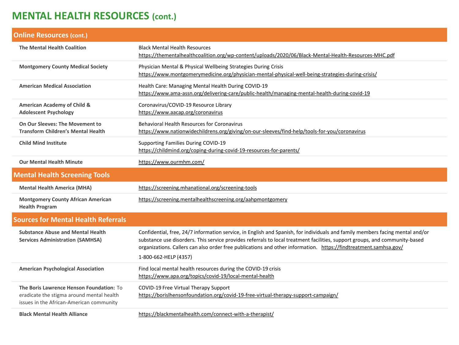## **MENTAL HEALTH RESOURCES (cont.)**

| <b>Online Resources (cont.)</b>                                                                                                   |                                                                                                                                                                                                                                                                                                                                                                                                           |
|-----------------------------------------------------------------------------------------------------------------------------------|-----------------------------------------------------------------------------------------------------------------------------------------------------------------------------------------------------------------------------------------------------------------------------------------------------------------------------------------------------------------------------------------------------------|
| <b>The Mental Health Coalition</b>                                                                                                | <b>Black Mental Health Resources</b><br>https://thementalhealthcoalition.org/wp-content/uploads/2020/06/Black-Mental-Health-Resources-MHC.pdf                                                                                                                                                                                                                                                             |
| <b>Montgomery County Medical Society</b>                                                                                          | Physician Mental & Physical Wellbeing Strategies During Crisis<br>https://www.montgomerymedicine.org/physician-mental-physical-well-being-strategies-during-crisis/                                                                                                                                                                                                                                       |
| <b>American Medical Association</b>                                                                                               | Health Care: Managing Mental Health During COVID-19<br>https://www.ama-assn.org/delivering-care/public-health/managing-mental-health-during-covid-19                                                                                                                                                                                                                                                      |
| <b>American Academy of Child &amp;</b><br><b>Adolescent Psychology</b>                                                            | Coronavirus/COVID-19 Resource Library<br>https://www.aacap.org/coronavirus                                                                                                                                                                                                                                                                                                                                |
| On Our Sleeves: The Movement to<br><b>Transform Children's Mental Health</b>                                                      | <b>Behavioral Health Resources for Coronavirus</b><br>https://www.nationwidechildrens.org/giving/on-our-sleeves/find-help/tools-for-you/coronavirus                                                                                                                                                                                                                                                       |
| <b>Child Mind Institute</b>                                                                                                       | Supporting Families During COVID-19<br>https://childmind.org/coping-during-covid-19-resources-for-parents/                                                                                                                                                                                                                                                                                                |
| <b>Our Mental Health Minute</b>                                                                                                   | https://www.ourmhm.com/                                                                                                                                                                                                                                                                                                                                                                                   |
| <b>Mental Health Screening Tools</b>                                                                                              |                                                                                                                                                                                                                                                                                                                                                                                                           |
| <b>Mental Health America (MHA)</b>                                                                                                | https://screening.mhanational.org/screening-tools                                                                                                                                                                                                                                                                                                                                                         |
| <b>Montgomery County African American</b><br><b>Health Program</b>                                                                | https://screening.mentalhealthscreening.org/aahpmontgomery                                                                                                                                                                                                                                                                                                                                                |
| <b>Sources for Mental Health Referrals</b>                                                                                        |                                                                                                                                                                                                                                                                                                                                                                                                           |
| <b>Substance Abuse and Mental Health</b><br><b>Services Administration (SAMHSA)</b>                                               | Confidential, free, 24/7 information service, in English and Spanish, for individuals and family members facing mental and/or<br>substance use disorders. This service provides referrals to local treatment facilities, support groups, and community-based<br>organizations. Callers can also order free publications and other information. https://findtreatment.samhsa.gov/<br>1-800-662-HELP (4357) |
| <b>American Psychological Association</b>                                                                                         | Find local mental health resources during the COVID-19 crisis<br>https://www.apa.org/topics/covid-19/local-mental-health                                                                                                                                                                                                                                                                                  |
| The Boris Lawrence Henson Foundation: To<br>eradicate the stigma around mental health<br>issues in the African-American community | COVID-19 Free Virtual Therapy Support<br>https://borislhensonfoundation.org/covid-19-free-virtual-therapy-support-campaign/                                                                                                                                                                                                                                                                               |
| <b>Black Mental Health Alliance</b>                                                                                               | https://blackmentalhealth.com/connect-with-a-therapist/                                                                                                                                                                                                                                                                                                                                                   |